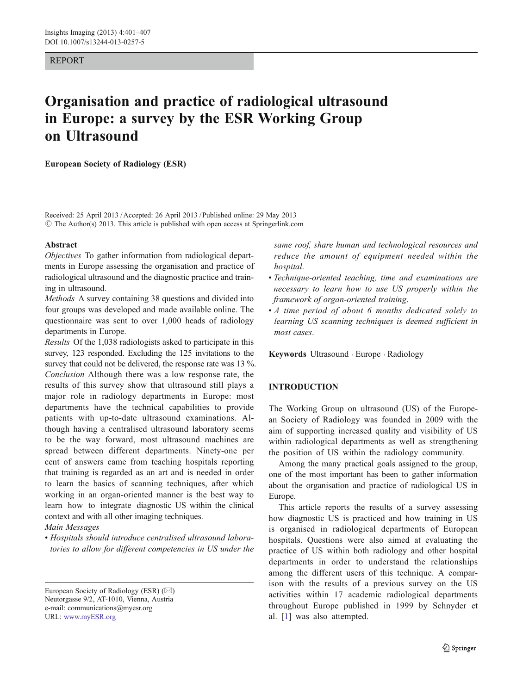#### REPORT

# Organisation and practice of radiological ultrasound in Europe: a survey by the ESR Working Group on Ultrasound

European Society of Radiology (ESR)

Received: 25 April 2013 /Accepted: 26 April 2013 / Published online: 29 May 2013  $\odot$  The Author(s) 2013. This article is published with open access at Springerlink.com

#### Abstract

Objectives To gather information from radiological departments in Europe assessing the organisation and practice of radiological ultrasound and the diagnostic practice and training in ultrasound.

Methods A survey containing 38 questions and divided into four groups was developed and made available online. The questionnaire was sent to over 1,000 heads of radiology departments in Europe.

Results Of the 1,038 radiologists asked to participate in this survey, 123 responded. Excluding the 125 invitations to the survey that could not be delivered, the response rate was 13 %. Conclusion Although there was a low response rate, the results of this survey show that ultrasound still plays a major role in radiology departments in Europe: most departments have the technical capabilities to provide patients with up-to-date ultrasound examinations. Although having a centralised ultrasound laboratory seems to be the way forward, most ultrasound machines are spread between different departments. Ninety-one per cent of answers came from teaching hospitals reporting that training is regarded as an art and is needed in order to learn the basics of scanning techniques, after which working in an organ-oriented manner is the best way to learn how to integrate diagnostic US within the clinical context and with all other imaging techniques.

## Main Messages

• Hospitals should introduce centralised ultrasound laboratories to allow for different competencies in US under the same roof, share human and technological resources and reduce the amount of equipment needed within the hospital.

- Technique-oriented teaching, time and examinations are necessary to learn how to use US properly within the framework of organ-oriented training.
- A time period of about 6 months dedicated solely to learning US scanning techniques is deemed sufficient in most cases.

Keywords Ultrasound . Europe . Radiology

# INTRODUCTION

The Working Group on ultrasound (US) of the European Society of Radiology was founded in 2009 with the aim of supporting increased quality and visibility of US within radiological departments as well as strengthening the position of US within the radiology community.

Among the many practical goals assigned to the group, one of the most important has been to gather information about the organisation and practice of radiological US in Europe.

This article reports the results of a survey assessing how diagnostic US is practiced and how training in US is organised in radiological departments of European hospitals. Questions were also aimed at evaluating the practice of US within both radiology and other hospital departments in order to understand the relationships among the different users of this technique. A comparison with the results of a previous survey on the US activities within 17 academic radiological departments throughout Europe published in 1999 by Schnyder et al. [[1\]](#page-6-0) was also attempted.

European Society of Radiology (ESR)  $(\boxtimes)$ Neutorgasse 9/2, AT-1010, Vienna, Austria e-mail: communications@myesr.org URL: www.myESR.org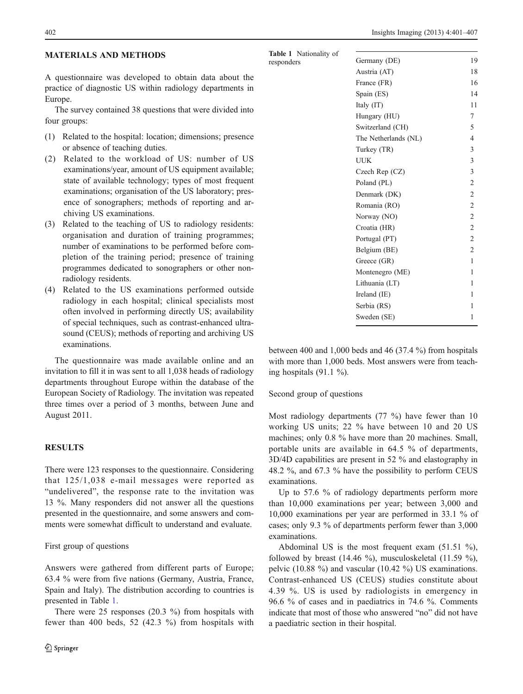A questionnaire was developed to obtain data about the practice of diagnostic US within radiology departments in Europe.

The survey contained 38 questions that were divided into four groups:

- (1) Related to the hospital: location; dimensions; presence or absence of teaching duties.
- (2) Related to the workload of US: number of US examinations/year, amount of US equipment available; state of available technology; types of most frequent examinations; organisation of the US laboratory; presence of sonographers; methods of reporting and archiving US examinations.
- (3) Related to the teaching of US to radiology residents: organisation and duration of training programmes; number of examinations to be performed before completion of the training period; presence of training programmes dedicated to sonographers or other nonradiology residents.
- (4) Related to the US examinations performed outside radiology in each hospital; clinical specialists most often involved in performing directly US; availability of special techniques, such as contrast-enhanced ultrasound (CEUS); methods of reporting and archiving US examinations.

The questionnaire was made available online and an invitation to fill it in was sent to all 1,038 heads of radiology departments throughout Europe within the database of the European Society of Radiology. The invitation was repeated three times over a period of 3 months, between June and August 2011.

# RESULTS

There were 123 responses to the questionnaire. Considering that 125/1,038 e-mail messages were reported as "undelivered", the response rate to the invitation was 13 %. Many responders did not answer all the questions presented in the questionnaire, and some answers and comments were somewhat difficult to understand and evaluate.

First group of questions

Answers were gathered from different parts of Europe; 63.4 % were from five nations (Germany, Austria, France, Spain and Italy). The distribution according to countries is presented in Table 1.

There were 25 responses (20.3 %) from hospitals with fewer than 400 beds, 52 (42.3 %) from hospitals with

| Table 1 Nationality of | Germany (DE)         | 19             |
|------------------------|----------------------|----------------|
| responders             |                      |                |
|                        | Austria (AT)         | 18             |
|                        | France (FR)          | 16             |
|                        | Spain (ES)           | 14             |
|                        | Italy (IT)           | 11             |
|                        | Hungary (HU)         | 7              |
|                        | Switzerland (CH)     | 5              |
|                        | The Netherlands (NL) | $\overline{4}$ |
|                        | Turkey (TR)          | 3              |
|                        | UUK                  | 3              |
|                        | Czech Rep (CZ)       | 3              |
|                        | Poland (PL)          | $\mathbf{2}$   |
|                        | Denmark (DK)         | $\sqrt{2}$     |
|                        | Romania (RO)         | $\overline{c}$ |
|                        | Norway (NO)          | $\sqrt{2}$     |
|                        | Croatia (HR)         | $\overline{2}$ |
|                        | Portugal (PT)        | $\sqrt{2}$     |
|                        | Belgium (BE)         | $\sqrt{2}$     |
|                        | Greece (GR)          | 1              |
|                        | Montenegro (ME)      | 1              |
|                        | Lithuania (LT)       | 1              |
|                        | Ireland (IE)         | 1              |
|                        | Serbia (RS)          | 1              |
|                        | Sweden (SE)          | 1              |

between 400 and 1,000 beds and 46 (37.4 %) from hospitals with more than 1,000 beds. Most answers were from teaching hospitals  $(91.1 \%)$ .

## Second group of questions

Most radiology departments (77 %) have fewer than 10 working US units; 22 % have between 10 and 20 US machines; only 0.8 % have more than 20 machines. Small, portable units are available in 64.5 % of departments, 3D/4D capabilities are present in 52 % and elastography in 48.2 %, and 67.3 % have the possibility to perform CEUS examinations.

Up to 57.6 % of radiology departments perform more than 10,000 examinations per year; between 3,000 and 10,000 examinations per year are performed in 33.1 % of cases; only 9.3 % of departments perform fewer than 3,000 examinations.

Abdominal US is the most frequent exam (51.51 %), followed by breast (14.46 %), musculoskeletal (11.59 %), pelvic (10.88 %) and vascular (10.42 %) US examinations. Contrast-enhanced US (CEUS) studies constitute about 4.39 %. US is used by radiologists in emergency in 96.6 % of cases and in paediatrics in 74.6 %. Comments indicate that most of those who answered "no" did not have a paediatric section in their hospital.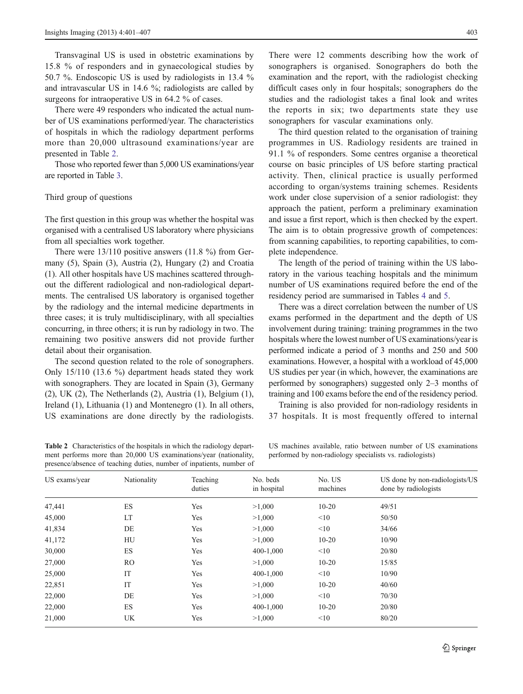Transvaginal US is used in obstetric examinations by 15.8 % of responders and in gynaecological studies by 50.7 %. Endoscopic US is used by radiologists in 13.4 % and intravascular US in 14.6 %; radiologists are called by surgeons for intraoperative US in 64.2 % of cases.

There were 49 responders who indicated the actual number of US examinations performed/year. The characteristics of hospitals in which the radiology department performs more than 20,000 ultrasound examinations/year are presented in Table 2.

Those who reported fewer than 5,000 US examinations/year are reported in Table [3.](#page-3-0)

## Third group of questions

The first question in this group was whether the hospital was organised with a centralised US laboratory where physicians from all specialties work together.

There were 13/110 positive answers (11.8 %) from Germany (5), Spain (3), Austria (2), Hungary (2) and Croatia (1). All other hospitals have US machines scattered throughout the different radiological and non-radiological departments. The centralised US laboratory is organised together by the radiology and the internal medicine departments in three cases; it is truly multidisciplinary, with all specialties concurring, in three others; it is run by radiology in two. The remaining two positive answers did not provide further detail about their organisation.

The second question related to the role of sonographers. Only 15/110 (13.6 %) department heads stated they work with sonographers. They are located in Spain  $(3)$ , Germany (2), UK (2), The Netherlands (2), Austria (1), Belgium (1), Ireland (1), Lithuania (1) and Montenegro (1). In all others, US examinations are done directly by the radiologists.

There were 12 comments describing how the work of sonographers is organised. Sonographers do both the examination and the report, with the radiologist checking difficult cases only in four hospitals; sonographers do the studies and the radiologist takes a final look and writes the reports in six; two departments state they use sonographers for vascular examinations only.

The third question related to the organisation of training programmes in US. Radiology residents are trained in 91.1 % of responders. Some centres organise a theoretical course on basic principles of US before starting practical activity. Then, clinical practice is usually performed according to organ/systems training schemes. Residents work under close supervision of a senior radiologist: they approach the patient, perform a preliminary examination and issue a first report, which is then checked by the expert. The aim is to obtain progressive growth of competences: from scanning capabilities, to reporting capabilities, to complete independence.

The length of the period of training within the US laboratory in the various teaching hospitals and the minimum number of US examinations required before the end of the residency period are summarised in Tables [4](#page-3-0) and [5.](#page-3-0)

There was a direct correlation between the number of US exams performed in the department and the depth of US involvement during training: training programmes in the two hospitals where the lowest number of US examinations/year is performed indicate a period of 3 months and 250 and 500 examinations. However, a hospital with a workload of 45,000 US studies per year (in which, however, the examinations are performed by sonographers) suggested only 2–3 months of training and 100 exams before the end of the residency period.

Training is also provided for non-radiology residents in 37 hospitals. It is most frequently offered to internal

| <b>Table 2</b> Characteristics of the hospitals in which the radiology depart- |
|--------------------------------------------------------------------------------|
| ment performs more than 20,000 US examinations/year (nationality,              |
| presence/absence of teaching duties, number of inpatients, number of           |

US machines available, ratio between number of US examinations performed by non-radiology specialists vs. radiologists)

| US exams/year | Nationality    | Teaching<br>duties | No. beds<br>in hospital | No. US<br>machines | US done by non-radiologists/US<br>done by radiologists |
|---------------|----------------|--------------------|-------------------------|--------------------|--------------------------------------------------------|
| 47,441        | ES             | Yes                | >1,000                  | $10 - 20$          | 49/51                                                  |
| 45,000        | LT             | Yes                | >1,000                  | <10                | 50/50                                                  |
| 41,834        | DE             | Yes                | >1,000                  | <10                | 34/66                                                  |
| 41,172        | HU             | Yes                | >1,000                  | $10 - 20$          | 10/90                                                  |
| 30,000        | ES             | Yes                | 400-1,000               | <10                | 20/80                                                  |
| 27,000        | R <sub>O</sub> | Yes                | >1,000                  | $10 - 20$          | 15/85                                                  |
| 25,000        | IT             | Yes                | 400-1,000               | <10                | 10/90                                                  |
| 22,851        | IT             | Yes                | >1,000                  | $10 - 20$          | 40/60                                                  |
| 22,000        | DE             | Yes                | >1,000                  | <10                | 70/30                                                  |
| 22,000        | ES             | Yes                | 400-1,000               | $10 - 20$          | 20/80                                                  |
| 21,000        | UK             | Yes                | >1,000                  | <10                | 80/20                                                  |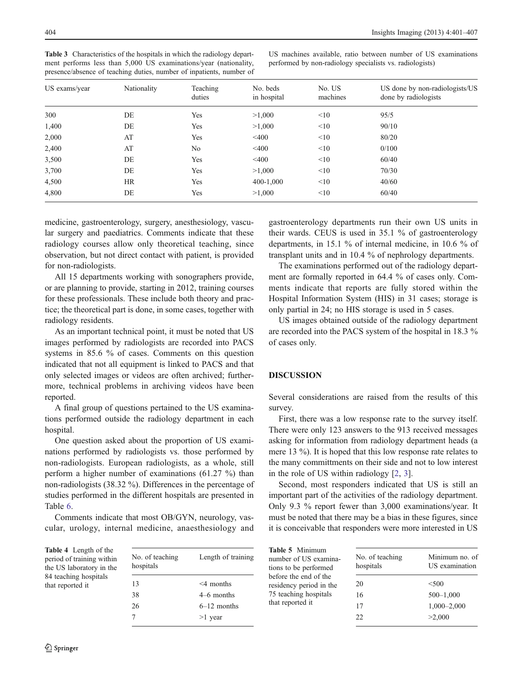<span id="page-3-0"></span>

|  |  |  | <b>Table 3</b> Characteristics of the hospitals in which the radiology depart- |  |
|--|--|--|--------------------------------------------------------------------------------|--|
|  |  |  | ment performs less than 5,000 US examinations/year (nationality,               |  |
|  |  |  | presence/absence of teaching duties, number of inpatients, number of           |  |

US machines available, ratio between number of US examinations performed by non-radiology specialists vs. radiologists)

| US exams/year | Nationality | Teaching<br>duties | No. beds<br>in hospital | No. US<br>machines | US done by non-radiologists/US<br>done by radiologists |
|---------------|-------------|--------------------|-------------------------|--------------------|--------------------------------------------------------|
| 300           | DE          | Yes                | >1,000                  | <10                | 95/5                                                   |
| 1,400         | DE          | Yes                | >1,000                  | <10                | 90/10                                                  |
| 2,000         | AT          | Yes                | $<$ 400                 | <10                | 80/20                                                  |
| 2,400         | AT          | No                 | $<$ 400                 | <10                | 0/100                                                  |
| 3,500         | DE          | Yes                | $<$ 400                 | <10                | 60/40                                                  |
| 3,700         | DE          | <b>Yes</b>         | >1,000                  | <10                | 70/30                                                  |
| 4,500         | HR          | Yes                | 400-1,000               | <10                | 40/60                                                  |
| 4,800         | DE          | Yes                | >1,000                  | <10                | 60/40                                                  |

medicine, gastroenterology, surgery, anesthesiology, vascular surgery and paediatrics. Comments indicate that these radiology courses allow only theoretical teaching, since observation, but not direct contact with patient, is provided for non-radiologists.

All 15 departments working with sonographers provide, or are planning to provide, starting in 2012, training courses for these professionals. These include both theory and practice; the theoretical part is done, in some cases, together with radiology residents.

As an important technical point, it must be noted that US images performed by radiologists are recorded into PACS systems in 85.6 % of cases. Comments on this question indicated that not all equipment is linked to PACS and that only selected images or videos are often archived; furthermore, technical problems in archiving videos have been reported.

A final group of questions pertained to the US examinations performed outside the radiology department in each hospital.

One question asked about the proportion of US examinations performed by radiologists vs. those performed by non-radiologists. European radiologists, as a whole, still perform a higher number of examinations (61.27 %) than non-radiologists (38.32 %). Differences in the percentage of studies performed in the different hospitals are presented in Table [6.](#page-4-0)

Comments indicate that most OB/GYN, neurology, vascular, urology, internal medicine, anaesthesiology and

| Table 4 Length of the     |   |
|---------------------------|---|
| period of training within | ٦ |
| the US laboratory in the  | h |
| 84 teaching hospitals     |   |
| that reported it          | 1 |
|                           |   |

| No. of teaching<br>hospitals | Length of training |
|------------------------------|--------------------|
| 13                           | $<$ 4 months       |
| 38                           | $4-6$ months       |
| 26                           | $6-12$ months      |
|                              | $>1$ year          |
|                              |                    |

gastroenterology departments run their own US units in their wards. CEUS is used in 35.1 % of gastroenterology departments, in 15.1 % of internal medicine, in 10.6 % of transplant units and in 10.4 % of nephrology departments.

The examinations performed out of the radiology department are formally reported in 64.4 % of cases only. Comments indicate that reports are fully stored within the Hospital Information System (HIS) in 31 cases; storage is only partial in 24; no HIS storage is used in 5 cases.

US images obtained outside of the radiology department are recorded into the PACS system of the hospital in 18.3 % of cases only.

## **DISCUSSION**

Several considerations are raised from the results of this survey.

First, there was a low response rate to the survey itself. There were only 123 answers to the 913 received messages asking for information from radiology department heads (a mere 13 %). It is hoped that this low response rate relates to the many committments on their side and not to low interest in the role of US within radiology [\[2](#page-6-0), [3\]](#page-6-0).

Second, most responders indicated that US is still an important part of the activities of the radiology department. Only 9.3 % report fewer than 3,000 examinations/year. It must be noted that there may be a bias in these figures, since it is conceivable that responders were more interested in US

Table 5 Minimum number of US examinations to be performed before the end of the residency period in the 75 teaching hospitals that reported it hospitals

| No. of teaching<br>hospitals | Minimum no. of<br>US examination |
|------------------------------|----------------------------------|
| 20                           | < 500                            |
| 16                           | $500 - 1,000$                    |
| 17                           | $1,000 - 2,000$                  |
| 22                           | >2,000                           |
|                              |                                  |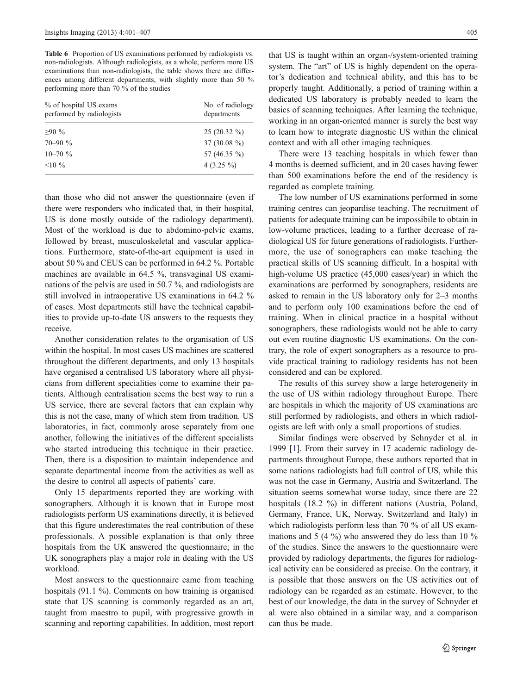<span id="page-4-0"></span>Table 6 Proportion of US examinations performed by radiologists vs. non-radiologists. Although radiologists, as a whole, perform more US examinations than non-radiologists, the table shows there are differences among different departments, with slightly more than 50 % performing more than 70 % of the studies

| No. of radiology<br>departments |  |
|---------------------------------|--|
| $25(20.32\%)$                   |  |
| 37 (30.08 $\%$ )                |  |
| 57 (46.35 %)                    |  |
| 4 $(3.25\% )$                   |  |
|                                 |  |

than those who did not answer the questionnaire (even if there were responders who indicated that, in their hospital, US is done mostly outside of the radiology department). Most of the workload is due to abdomino-pelvic exams, followed by breast, musculoskeletal and vascular applications. Furthermore, state-of-the-art equipment is used in about 50 % and CEUS can be performed in 64.2 %. Portable machines are available in 64.5 %, transvaginal US examinations of the pelvis are used in 50.7 %, and radiologists are still involved in intraoperative US examinations in 64.2 % of cases. Most departments still have the technical capabilities to provide up-to-date US answers to the requests they receive.

Another consideration relates to the organisation of US within the hospital. In most cases US machines are scattered throughout the different departments, and only 13 hospitals have organised a centralised US laboratory where all physicians from different specialities come to examine their patients. Although centralisation seems the best way to run a US service, there are several factors that can explain why this is not the case, many of which stem from tradition. US laboratories, in fact, commonly arose separately from one another, following the initiatives of the different specialists who started introducing this technique in their practice. Then, there is a disposition to maintain independence and separate departmental income from the activities as well as the desire to control all aspects of patients' care.

Only 15 departments reported they are working with sonographers. Although it is known that in Europe most radiologists perform US examinations directly, it is believed that this figure underestimates the real contribution of these professionals. A possible explanation is that only three hospitals from the UK answered the questionnaire; in the UK sonographers play a major role in dealing with the US workload.

Most answers to the questionnaire came from teaching hospitals (91.1 %). Comments on how training is organised state that US scanning is commonly regarded as an art, taught from maestro to pupil, with progressive growth in scanning and reporting capabilities. In addition, most report

that US is taught within an organ-/system-oriented training system. The "art" of US is highly dependent on the operator's dedication and technical ability, and this has to be properly taught. Additionally, a period of training within a dedicated US laboratory is probably needed to learn the basics of scanning techniques. After learning the technique, working in an organ-oriented manner is surely the best way to learn how to integrate diagnostic US within the clinical context and with all other imaging techniques.

There were 13 teaching hospitals in which fewer than 4 months is deemed sufficient, and in 20 cases having fewer than 500 examinations before the end of the residency is regarded as complete training.

The low number of US examinations performed in some training centres can jeopardise teaching. The recruitment of patients for adequate training can be impossibile to obtain in low-volume practices, leading to a further decrease of radiological US for future generations of radiologists. Furthermore, the use of sonographers can make teaching the practical skills of US scanning difficult. In a hospital with high-volume US practice (45,000 cases/year) in which the examinations are performed by sonographers, residents are asked to remain in the US laboratory only for 2–3 months and to perform only 100 examinations before the end of training. When in clinical practice in a hospital without sonographers, these radiologists would not be able to carry out even routine diagnostic US examinations. On the contrary, the role of expert sonographers as a resource to provide practical training to radiology residents has not been considered and can be explored.

The results of this survey show a large heterogeneity in the use of US within radiology throughout Europe. There are hospitals in which the majority of US examinations are still performed by radiologists, and others in which radiologists are left with only a small proportions of studies.

Similar findings were observed by Schnyder et al. in 1999 [[1](#page-6-0)]. From their survey in 17 academic radiology departments throughout Europe, these authors reported that in some nations radiologists had full control of US, while this was not the case in Germany, Austria and Switzerland. The situation seems somewhat worse today, since there are 22 hospitals (18.2 %) in different nations (Austria, Poland, Germany, France, UK, Norway, Switzerland and Italy) in which radiologists perform less than 70 % of all US examinations and 5 (4 %) who answered they do less than 10 % of the studies. Since the answers to the questionnaire were provided by radiology departments, the figures for radiological activity can be considered as precise. On the contrary, it is possible that those answers on the US activities out of radiology can be regarded as an estimate. However, to the best of our knowledge, the data in the survey of Schnyder et al. were also obtained in a similar way, and a comparison can thus be made.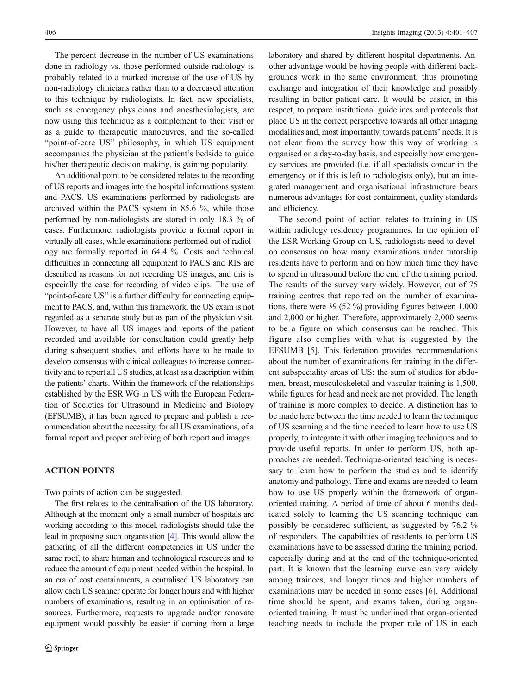The percent decrease in the number of US examinations done in radiology vs. those performed outside radiology is probably related to a marked increase of the use of US by non-radiology clinicians rather than to a decreased attention to this technique by radiologists. In fact, new specialists, such as emergency physicians and anesthesiologists, are now using this technique as a complement to their visit or as a guide to therapeutic manoeuvres, and the so-called "point-of-care US" philosophy, in which US equipment accompanies the physician at the patient's bedside to guide his/her therapeutic decision making, is gaining popularity.

An additional point to be considered relates to the recording of US reports and images into the hospital informations system and PACS. US examinations performed by radiologists are archived within the PACS system in 85.6 %, while those performed by non-radiologists are stored in only 18.3 % of cases. Furthermore, radiologists provide a formal report in virtually all cases, while examinations performed out of radiology are formally reported in 64.4 %. Costs and technical difficulties in connecting all equipment to PACS and RIS are described as reasons for not recording US images, and this is especially the case for recording of video clips. The use of "point-of-care US" is a further difficulty for connecting equipment to PACS, and, within this framework, the US exam is not regarded as a separate study but as part of the physician visit. However, to have all US images and reports of the patient recorded and available for consultation could greatly help during subsequent studies, and efforts have to be made to develop consensus with clinical colleagues to increase connectivity and to report all US studies, at least as a description within the patients' charts. Within the framework of the relationships established by the ESR WG in US with the European Federation of Societies for Ultrasound in Medicine and Biology (EFSUMB), it has been agreed to prepare and publish a recommendation about the necessity, for all US examinations, of a formal report and proper archiving of both report and images.

#### ACTION POINTS

Two points of action can be suggested.

The first relates to the centralisation of the US laboratory. Although at the moment only a small number of hospitals are working according to this model, radiologists should take the lead in proposing such organisation [[4\]](#page-6-0). This would allow the gathering of all the different competencies in US under the same roof, to share human and technological resources and to reduce the amount of equipment needed within the hospital. In an era of cost containments, a centralised US laboratory can allow each US scanner operate for longer hours and with higher numbers of examinations, resulting in an optimisation of resources. Furthermore, requests to upgrade and/or renovate equipment would possibly be easier if coming from a large

laboratory and shared by different hospital departments. Another advantage would be having people with different backgrounds work in the same environment, thus promoting exchange and integration of their knowledge and possibly resulting in better patient care. It would be easier, in this respect, to prepare institutional guidelines and protocols that place US in the correct perspective towards all other imaging modalities and, most importantly, towards patients' needs. It is not clear from the survey how this way of working is organised on a day-to-day basis, and especially how emergency services are provided (i.e. if all specialists concur in the emergency or if this is left to radiologists only), but an integrated management and organisational infrastructure bears numerous advantages for cost containment, quality standards and efficiency.

The second point of action relates to training in US within radiology residency programmes. In the opinion of the ESR Working Group on US, radiologists need to develop consensus on how many examinations under tutorship residents have to perform and on how much time they have to spend in ultrasound before the end of the training period. The results of the survey vary widely. However, out of 75 training centres that reported on the number of examinations, there were 39 (52 %) providing figures between 1,000 and 2,000 or higher. Therefore, approximately 2,000 seems to be a figure on which consensus can be reached. This figure also complies with what is suggested by the EFSUMB [[5\]](#page-6-0). This federation provides recommendations about the number of examinations for training in the different subspeciality areas of US: the sum of studies for abdomen, breast, musculoskeletal and vascular training is 1,500, while figures for head and neck are not provided. The length of training is more complex to decide. A distinction has to be made here between the time needed to learn the technique of US scanning and the time needed to learn how to use US properly, to integrate it with other imaging techniques and to provide useful reports. In order to perform US, both approaches are needed. Technique-oriented teaching is necessary to learn how to perform the studies and to identify anatomy and pathology. Time and exams are needed to learn how to use US properly within the framework of organoriented training. A period of time of about 6 months dedicated solely to learning the US scanning technique can possibly be considered sufficient, as suggested by 76.2 % of responders. The capabilities of residents to perform US examinations have to be assessed during the training period, especially during and at the end of the technique-oriented part. It is known that the learning curve can vary widely among trainees, and longer times and higher numbers of examinations may be needed in some cases [\[6](#page-6-0)]. Additional time should be spent, and exams taken, during organoriented training. It must be underlined that organ-oriented teaching needs to include the proper role of US in each